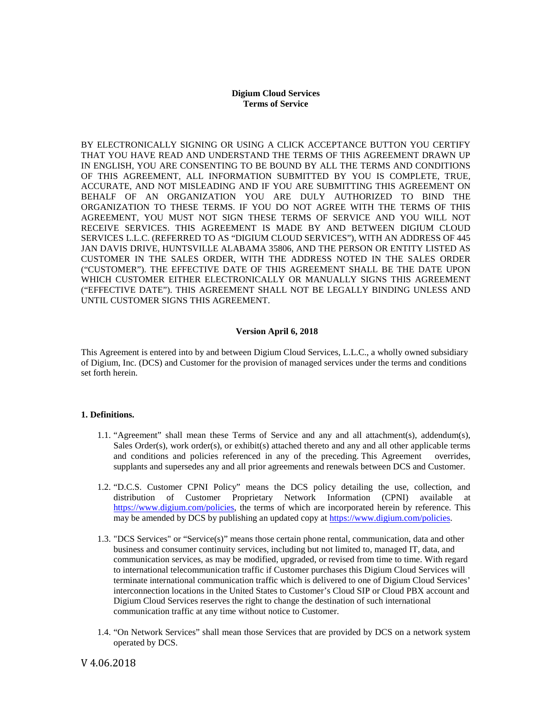# **Digium Cloud Services Terms of Service**

BY ELECTRONICALLY SIGNING OR USING A CLICK ACCEPTANCE BUTTON YOU CERTIFY THAT YOU HAVE READ AND UNDERSTAND THE TERMS OF THIS AGREEMENT DRAWN UP IN ENGLISH, YOU ARE CONSENTING TO BE BOUND BY ALL THE TERMS AND CONDITIONS OF THIS AGREEMENT, ALL INFORMATION SUBMITTED BY YOU IS COMPLETE, TRUE, ACCURATE, AND NOT MISLEADING AND IF YOU ARE SUBMITTING THIS AGREEMENT ON BEHALF OF AN ORGANIZATION YOU ARE DULY AUTHORIZED TO BIND THE ORGANIZATION TO THESE TERMS. IF YOU DO NOT AGREE WITH THE TERMS OF THIS AGREEMENT, YOU MUST NOT SIGN THESE TERMS OF SERVICE AND YOU WILL NOT RECEIVE SERVICES. THIS AGREEMENT IS MADE BY AND BETWEEN DIGIUM CLOUD SERVICES L.L.C. (REFERRED TO AS "DIGIUM CLOUD SERVICES"), WITH AN ADDRESS OF 445 JAN DAVIS DRIVE, HUNTSVILLE ALABAMA 35806, AND THE PERSON OR ENTITY LISTED AS CUSTOMER IN THE SALES ORDER, WITH THE ADDRESS NOTED IN THE SALES ORDER ("CUSTOMER"). THE EFFECTIVE DATE OF THIS AGREEMENT SHALL BE THE DATE UPON WHICH CUSTOMER EITHER ELECTRONICALLY OR MANUALLY SIGNS THIS AGREEMENT ("EFFECTIVE DATE"). THIS AGREEMENT SHALL NOT BE LEGALLY BINDING UNLESS AND UNTIL CUSTOMER SIGNS THIS AGREEMENT.

### **Version April 6, 2018**

This Agreement is entered into by and between Digium Cloud Services, L.L.C., a wholly owned subsidiary of Digium, Inc. (DCS) and Customer for the provision of managed services under the terms and conditions set forth herein.

### **1. Definitions.**

- 1.1. "Agreement" shall mean these Terms of Service and any and all attachment(s), addendum(s), Sales Order(s), work order(s), or exhibit(s) attached thereto and any and all other applicable terms and conditions and policies referenced in any of the preceding. This Agreement overrides, supplants and supersedes any and all prior agreements and renewals between DCS and Customer.
- 1.2. "D.C.S. Customer CPNI Policy" means the DCS policy detailing the use, collection, and distribution of Customer Proprietary Network Information (CPNI) available at [https://www.digium.com/policies,](https://www.digium.com/policies) the terms of which are incorporated herein by reference. This may be amended by DCS by publishing an updated copy a[t https://www.digium.com/policies.](https://www.digium.com/policies)
- 1.3. "DCS Services" or "Service(s)" means those certain phone rental, communication, data and other business and consumer continuity services, including but not limited to, managed IT, data, and communication services, as may be modified, upgraded, or revised from time to time. With regard to international telecommunication traffic if Customer purchases this Digium Cloud Services will terminate international communication traffic which is delivered to one of Digium Cloud Services' interconnection locations in the United States to Customer's Cloud SIP or Cloud PBX account and Digium Cloud Services reserves the right to change the destination of such international communication traffic at any time without notice to Customer.
- 1.4. "On Network Services" shall mean those Services that are provided by DCS on a network system operated by DCS.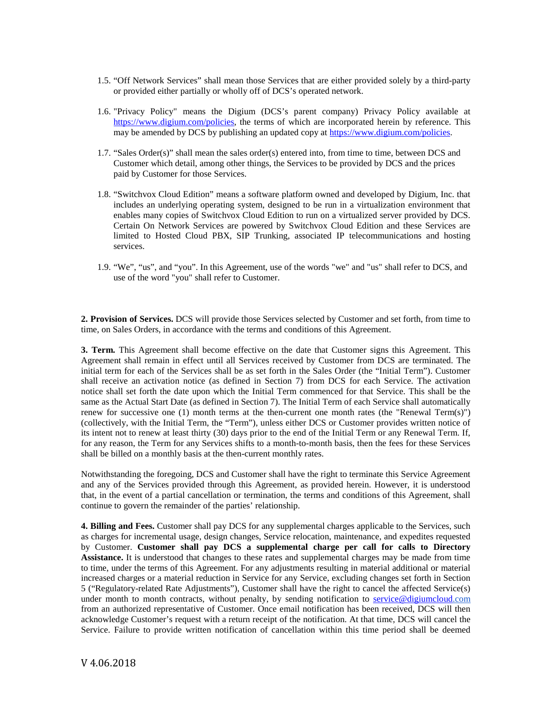- 1.5. "Off Network Services" shall mean those Services that are either provided solely by a third-party or provided either partially or wholly off of DCS's operated network.
- 1.6. "Privacy Policy" means the Digium (DCS's parent company) Privacy Policy available at [https://www.digium.com/policies,](https://www.digium.com/policies) the terms of which are incorporated herein by reference. This may be amended by DCS by publishing an updated copy a[t https://www.digium.com/policies.](https://www.digium.com/policies)
- 1.7. "Sales Order(s)" shall mean the sales order(s) entered into, from time to time, between DCS and Customer which detail, among other things, the Services to be provided by DCS and the prices paid by Customer for those Services.
- 1.8. "Switchvox Cloud Edition" means a software platform owned and developed by Digium, Inc. that includes an underlying operating system, designed to be run in a virtualization environment that enables many copies of Switchvox Cloud Edition to run on a virtualized server provided by DCS. Certain On Network Services are powered by Switchvox Cloud Edition and these Services are limited to Hosted Cloud PBX, SIP Trunking, associated IP telecommunications and hosting services.
- 1.9. "We", "us", and "you". In this Agreement, use of the words "we" and "us" shall refer to DCS, and use of the word "you" shall refer to Customer.

**2. Provision of Services.** DCS will provide those Services selected by Customer and set forth, from time to time, on Sales Orders, in accordance with the terms and conditions of this Agreement.

**3. Term.** This Agreement shall become effective on the date that Customer signs this Agreement. This Agreement shall remain in effect until all Services received by Customer from DCS are terminated. The initial term for each of the Services shall be as set forth in the Sales Order (the "Initial Term"). Customer shall receive an activation notice (as defined in Section 7) from DCS for each Service. The activation notice shall set forth the date upon which the Initial Term commenced for that Service. This shall be the same as the Actual Start Date (as defined in Section 7). The Initial Term of each Service shall automatically renew for successive one (1) month terms at the then-current one month rates (the "Renewal Term(s)") (collectively, with the Initial Term, the "Term"), unless either DCS or Customer provides written notice of its intent not to renew at least thirty (30) days prior to the end of the Initial Term or any Renewal Term. If, for any reason, the Term for any Services shifts to a month-to-month basis, then the fees for these Services shall be billed on a monthly basis at the then-current monthly rates.

Notwithstanding the foregoing, DCS and Customer shall have the right to terminate this Service Agreement and any of the Services provided through this Agreement, as provided herein. However, it is understood that, in the event of a partial cancellation or termination, the terms and conditions of this Agreement, shall continue to govern the remainder of the parties' relationship.

**4. Billing and Fees.** Customer shall pay DCS for any supplemental charges applicable to the Services, such as charges for incremental usage, design changes, Service relocation, maintenance, and expedites requested by Customer. **Customer shall pay DCS a supplemental charge per call for calls to Directory Assistance.** It is understood that changes to these rates and supplemental charges may be made from time to time, under the terms of this Agreement. For any adjustments resulting in material additional or material increased charges or a material reduction in Service for any Service, excluding changes set forth in Section 5 ("Regulatory-related Rate Adjustments"), Customer shall have the right to cancel the affected Service(s) under month to month contracts, without penalty, by sending notification to [service@digiumcloud.com](mailto:service@digiumcloud) from an authorized representative of Customer. Once email notification has been received, DCS will then acknowledge Customer's request with a return receipt of the notification. At that time, DCS will cancel the Service. Failure to provide written notification of cancellation within this time period shall be deemed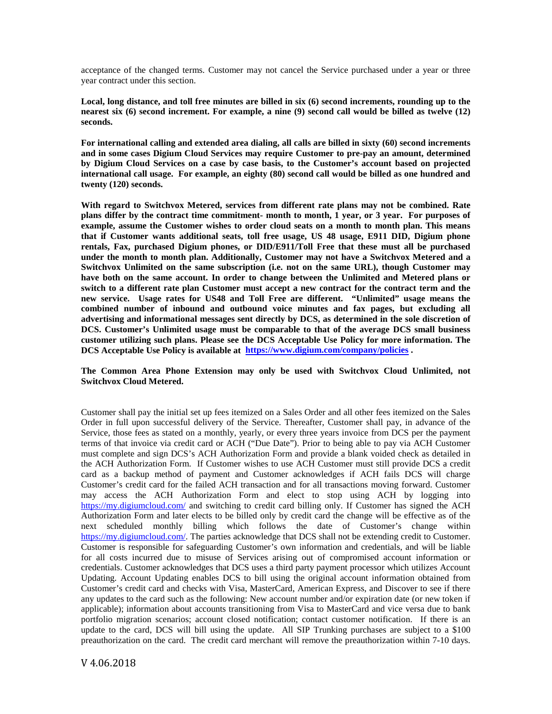acceptance of the changed terms. Customer may not cancel the Service purchased under a year or three year contract under this section.

**Local, long distance, and toll free minutes are billed in six (6) second increments, rounding up to the nearest six (6) second increment. For example, a nine (9) second call would be billed as twelve (12) seconds.**

**For international calling and extended area dialing, all calls are billed in sixty (60) second increments and in some cases Digium Cloud Services may require Customer to pre-pay an amount, determined by Digium Cloud Services on a case by case basis, to the Customer's account based on projected international call usage. For example, an eighty (80) second call would be billed as one hundred and twenty (120) seconds.** 

**With regard to Switchvox Metered, services from different rate plans may not be combined. Rate plans differ by the contract time commitment- month to month, 1 year, or 3 year. For purposes of example, assume the Customer wishes to order cloud seats on a month to month plan. This means that if Customer wants additional seats, toll free usage, US 48 usage, E911 DID, Digium phone rentals, Fax, purchased Digium phones, or DID/E911/Toll Free that these must all be purchased under the month to month plan. Additionally, Customer may not have a Switchvox Metered and a Switchvox Unlimited on the same subscription (i.e. not on the same URL), though Customer may have both on the same account. In order to change between the Unlimited and Metered plans or switch to a different rate plan Customer must accept a new contract for the contract term and the new service. Usage rates for US48 and Toll Free are different. "Unlimited" usage means the combined number of inbound and outbound voice minutes and fax pages, but excluding all advertising and informational messages sent directly by DCS, as determined in the sole discretion of DCS. Customer's Unlimited usage must be comparable to that of the average DCS small business customer utilizing such plans. Please see the DCS Acceptable Use Policy for more information. The DCS Acceptable Use Policy is available at <https://www.digium.com/company/policies> .** 

**The Common Area Phone Extension may only be used with Switchvox Cloud Unlimited, not Switchvox Cloud Metered.** 

Customer shall pay the initial set up fees itemized on a Sales Order and all other fees itemized on the Sales Order in full upon successful delivery of the Service. Thereafter, Customer shall pay, in advance of the Service, those fees as stated on a monthly, yearly, or every three years invoice from DCS per the payment terms of that invoice via credit card or ACH ("Due Date"). Prior to being able to pay via ACH Customer must complete and sign DCS's ACH Authorization Form and provide a blank voided check as detailed in the ACH Authorization Form. If Customer wishes to use ACH Customer must still provide DCS a credit card as a backup method of payment and Customer acknowledges if ACH fails DCS will charge Customer's credit card for the failed ACH transaction and for all transactions moving forward. Customer may access the ACH Authorization Form and elect to stop using ACH by logging into <https://my.digiumcloud.com/> and switching to credit card billing only. If Customer has signed the ACH Authorization Form and later elects to be billed only by credit card the change will be effective as of the next scheduled monthly billing which follows the date of Customer's change within [https://my.digiumcloud.com/.](https://my.digiumcloud.com/) The parties acknowledge that DCS shall not be extending credit to Customer. Customer is responsible for safeguarding Customer's own information and credentials, and will be liable for all costs incurred due to misuse of Services arising out of compromised account information or credentials. Customer acknowledges that DCS uses a third party payment processor which utilizes Account Updating. Account Updating enables DCS to bill using the original account information obtained from Customer's credit card and checks with Visa, MasterCard, American Express, and Discover to see if there any updates to the card such as the following: New account number and/or expiration date (or new token if applicable); information about accounts transitioning from Visa to MasterCard and vice versa due to bank portfolio migration scenarios; account closed notification; contact customer notification. If there is an update to the card, DCS will bill using the update. All SIP Trunking purchases are subject to a \$100 preauthorization on the card. The credit card merchant will remove the preauthorization within 7-10 days.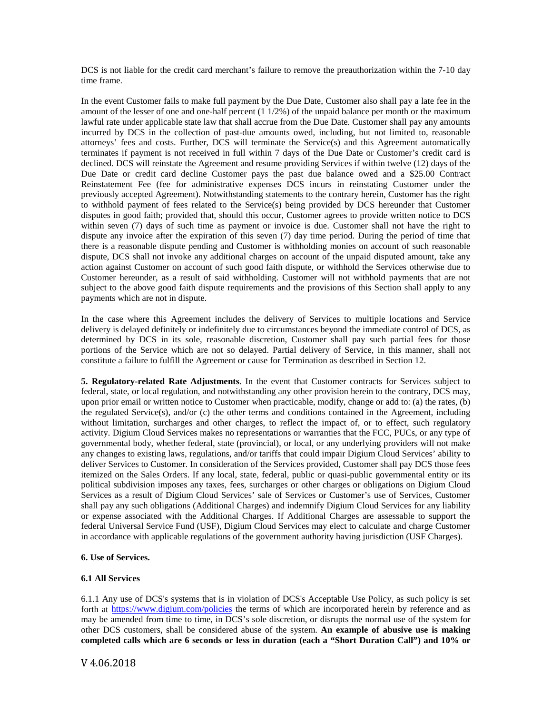DCS is not liable for the credit card merchant's failure to remove the preauthorization within the 7-10 day time frame.

In the event Customer fails to make full payment by the Due Date, Customer also shall pay a late fee in the amount of the lesser of one and one-half percent (1 1/2%) of the unpaid balance per month or the maximum lawful rate under applicable state law that shall accrue from the Due Date. Customer shall pay any amounts incurred by DCS in the collection of past-due amounts owed, including, but not limited to, reasonable attorneys' fees and costs. Further, DCS will terminate the Service(s) and this Agreement automatically terminates if payment is not received in full within 7 days of the Due Date or Customer's credit card is declined. DCS will reinstate the Agreement and resume providing Services if within twelve (12) days of the Due Date or credit card decline Customer pays the past due balance owed and a \$25.00 Contract Reinstatement Fee (fee for administrative expenses DCS incurs in reinstating Customer under the previously accepted Agreement). Notwithstanding statements to the contrary herein, Customer has the right to withhold payment of fees related to the Service(s) being provided by DCS hereunder that Customer disputes in good faith; provided that, should this occur, Customer agrees to provide written notice to DCS within seven (7) days of such time as payment or invoice is due. Customer shall not have the right to dispute any invoice after the expiration of this seven (7) day time period. During the period of time that there is a reasonable dispute pending and Customer is withholding monies on account of such reasonable dispute, DCS shall not invoke any additional charges on account of the unpaid disputed amount, take any action against Customer on account of such good faith dispute, or withhold the Services otherwise due to Customer hereunder, as a result of said withholding. Customer will not withhold payments that are not subject to the above good faith dispute requirements and the provisions of this Section shall apply to any payments which are not in dispute.

In the case where this Agreement includes the delivery of Services to multiple locations and Service delivery is delayed definitely or indefinitely due to circumstances beyond the immediate control of DCS, as determined by DCS in its sole, reasonable discretion, Customer shall pay such partial fees for those portions of the Service which are not so delayed. Partial delivery of Service, in this manner, shall not constitute a failure to fulfill the Agreement or cause for Termination as described in Section 12.

**5. Regulatory-related Rate Adjustments**. In the event that Customer contracts for Services subject to federal, state, or local regulation, and notwithstanding any other provision herein to the contrary, DCS may, upon prior email or written notice to Customer when practicable, modify, change or add to: (a) the rates, (b) the regulated Service(s), and/or (c) the other terms and conditions contained in the Agreement, including without limitation, surcharges and other charges, to reflect the impact of, or to effect, such regulatory activity. Digium Cloud Services makes no representations or warranties that the FCC, PUCs, or any type of governmental body, whether federal, state (provincial), or local, or any underlying providers will not make any changes to existing laws, regulations, and/or tariffs that could impair Digium Cloud Services' ability to deliver Services to Customer. In consideration of the Services provided, Customer shall pay DCS those fees itemized on the Sales Orders. If any local, state, federal, public or quasi-public governmental entity or its political subdivision imposes any taxes, fees, surcharges or other charges or obligations on Digium Cloud Services as a result of Digium Cloud Services' sale of Services or Customer's use of Services, Customer shall pay any such obligations (Additional Charges) and indemnify Digium Cloud Services for any liability or expense associated with the Additional Charges. If Additional Charges are assessable to support the federal Universal Service Fund (USF), Digium Cloud Services may elect to calculate and charge Customer in accordance with applicable regulations of the government authority having jurisdiction (USF Charges).

### **6. Use of Services.**

# **6.1 All Services**

6.1.1 Any use of DCS's systems that is in violation of DCS's Acceptable Use Policy, as such policy is set forth at<https://www.digium.com/policies> the terms of which are incorporated herein by reference and as may be amended from time to time, in DCS's sole discretion, or disrupts the normal use of the system for other DCS customers, shall be considered abuse of the system. **An example of abusive use is making completed calls which are 6 seconds or less in duration (each a "Short Duration Call") and 10% or**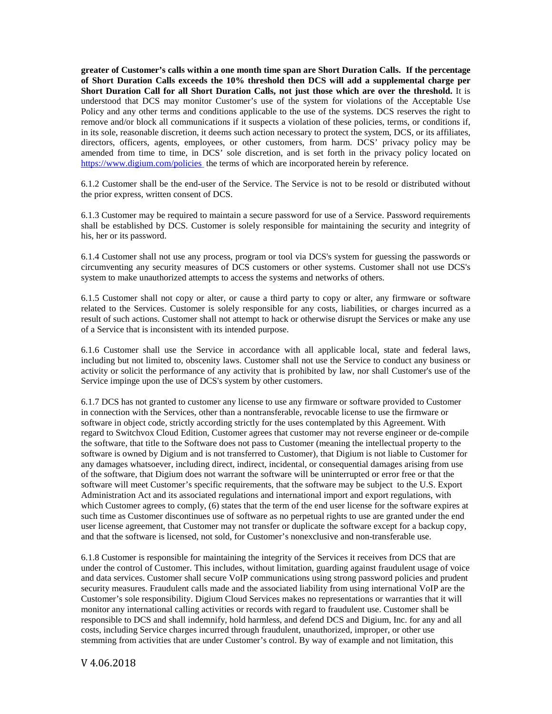**greater of Customer's calls within a one month time span are Short Duration Calls. If the percentage of Short Duration Calls exceeds the 10% threshold then DCS will add a supplemental charge per Short Duration Call for all Short Duration Calls, not just those which are over the threshold.** It is understood that DCS may monitor Customer's use of the system for violations of the Acceptable Use Policy and any other terms and conditions applicable to the use of the systems. DCS reserves the right to remove and/or block all communications if it suspects a violation of these policies, terms, or conditions if, in its sole, reasonable discretion, it deems such action necessary to protect the system, DCS, or its affiliates, directors, officers, agents, employees, or other customers, from harm. DCS' privacy policy may be amended from time to time, in DCS' sole discretion, and is set forth in the privacy policy located on <https://www.digium.com/policies> the terms of which are incorporated herein by reference.

6.1.2 Customer shall be the end-user of the Service. The Service is not to be resold or distributed without the prior express, written consent of DCS.

6.1.3 Customer may be required to maintain a secure password for use of a Service. Password requirements shall be established by DCS. Customer is solely responsible for maintaining the security and integrity of his, her or its password.

6.1.4 Customer shall not use any process, program or tool via DCS's system for guessing the passwords or circumventing any security measures of DCS customers or other systems. Customer shall not use DCS's system to make unauthorized attempts to access the systems and networks of others.

6.1.5 Customer shall not copy or alter, or cause a third party to copy or alter, any firmware or software related to the Services. Customer is solely responsible for any costs, liabilities, or charges incurred as a result of such actions. Customer shall not attempt to hack or otherwise disrupt the Services or make any use of a Service that is inconsistent with its intended purpose.

6.1.6 Customer shall use the Service in accordance with all applicable local, state and federal laws, including but not limited to, obscenity laws. Customer shall not use the Service to conduct any business or activity or solicit the performance of any activity that is prohibited by law, nor shall Customer's use of the Service impinge upon the use of DCS's system by other customers.

6.1.7 DCS has not granted to customer any license to use any firmware or software provided to Customer in connection with the Services, other than a nontransferable, revocable license to use the firmware or software in object code, strictly according strictly for the uses contemplated by this Agreement. With regard to Switchvox Cloud Edition, Customer agrees that customer may not reverse engineer or de-compile the software, that title to the Software does not pass to Customer (meaning the intellectual property to the software is owned by Digium and is not transferred to Customer), that Digium is not liable to Customer for any damages whatsoever, including direct, indirect, incidental, or consequential damages arising from use of the software, that Digium does not warrant the software will be uninterrupted or error free or that the software will meet Customer's specific requirements, that the software may be subject to the U.S. Export Administration Act and its associated regulations and international import and export regulations, with which Customer agrees to comply, (6) states that the term of the end user license for the software expires at such time as Customer discontinues use of software as no perpetual rights to use are granted under the end user license agreement, that Customer may not transfer or duplicate the software except for a backup copy, and that the software is licensed, not sold, for Customer's nonexclusive and non-transferable use.

6.1.8 Customer is responsible for maintaining the integrity of the Services it receives from DCS that are under the control of Customer. This includes, without limitation, guarding against fraudulent usage of voice and data services. Customer shall secure VoIP communications using strong password policies and prudent security measures. Fraudulent calls made and the associated liability from using international VoIP are the Customer's sole responsibility. Digium Cloud Services makes no representations or warranties that it will monitor any international calling activities or records with regard to fraudulent use. Customer shall be responsible to DCS and shall indemnify, hold harmless, and defend DCS and Digium, Inc. for any and all costs, including Service charges incurred through fraudulent, unauthorized, improper, or other use stemming from activities that are under Customer's control. By way of example and not limitation, this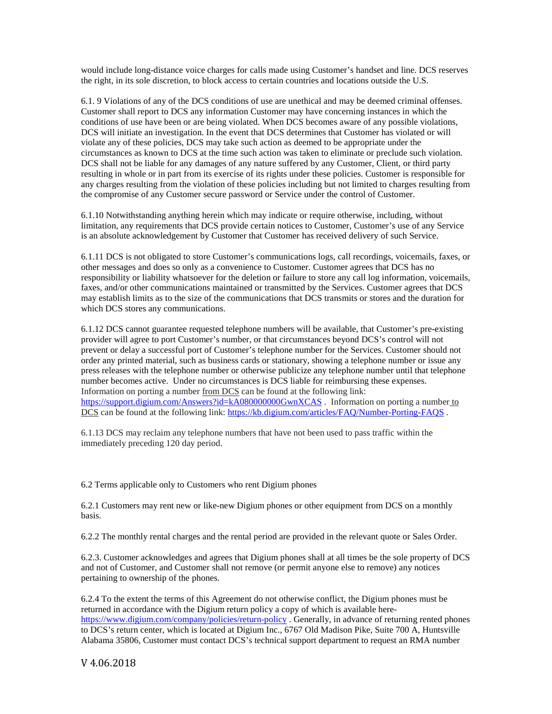would include long-distance voice charges for calls made using Customer's handset and line. DCS reserves the right, in its sole discretion, to block access to certain countries and locations outside the U.S.

6.1. 9 Violations of any of the DCS conditions of use are unethical and may be deemed criminal offenses. Customer shall report to DCS any information Customer may have concerning instances in which the conditions of use have been or are being violated. When DCS becomes aware of any possible violations, DCS will initiate an investigation. In the event that DCS determines that Customer has violated or will violate any of these policies, DCS may take such action as deemed to be appropriate under the circumstances as known to DCS at the time such action was taken to eliminate or preclude such violation. DCS shall not be liable for any damages of any nature suffered by any Customer, Client, or third party resulting in whole or in part from its exercise of its rights under these policies. Customer is responsible for any charges resulting from the violation of these policies including but not limited to charges resulting from the compromise of any Customer secure password or Service under the control of Customer.

6.1.10 Notwithstanding anything herein which may indicate or require otherwise, including, without limitation, any requirements that DCS provide certain notices to Customer, Customer's use of any Service is an absolute acknowledgement by Customer that Customer has received delivery of such Service.

6.1.11 DCS is not obligated to store Customer's communications logs, call recordings, voicemails, faxes, or other messages and does so only as a convenience to Customer. Customer agrees that DCS has no responsibility or liability whatsoever for the deletion or failure to store any call log information, voicemails, faxes, and/or other communications maintained or transmitted by the Services. Customer agrees that DCS may establish limits as to the size of the communications that DCS transmits or stores and the duration for which DCS stores any communications.

6.1.12 DCS cannot guarantee requested telephone numbers will be available, that Customer's pre-existing provider will agree to port Customer's number, or that circumstances beyond DCS's control will not prevent or delay a successful port of Customer's telephone number for the Services. Customer should not order any printed material, such as business cards or stationary, showing a telephone number or issue any press releases with the telephone number or otherwise publicize any telephone number until that telephone number becomes active. Under no circumstances is DCS liable for reimbursing these expenses. Information on porting a number from DCS can be found at the following link: <https://support.digium.com/Answers?id=kA080000000GwnXCAS>. Information on porting a number to DCS can be found at the following link:<https://kb.digium.com/articles/FAQ/Number-Porting-FAQS> .

6.1.13 DCS may reclaim any telephone numbers that have not been used to pass traffic within the immediately preceding 120 day period.

6.2 Terms applicable only to Customers who rent Digium phones

6.2.1 Customers may rent new or like-new Digium phones or other equipment from DCS on a monthly basis.

6.2.2 The monthly rental charges and the rental period are provided in the relevant quote or Sales Order.

6.2.3. Customer acknowledges and agrees that Digium phones shall at all times be the sole property of DCS and not of Customer, and Customer shall not remove (or permit anyone else to remove) any notices pertaining to ownership of the phones.

6.2.4 To the extent the terms of this Agreement do not otherwise conflict, the Digium phones must be returned in accordance with the Digium return policy a copy of which is available here<https://www.digium.com/company/policies/return-policy> . Generally, in advance of returning rented phones to DCS's return center, which is located at Digium Inc., 6767 Old Madison Pike, Suite 700 A, Huntsville Alabama 35806, Customer must contact DCS's technical support department to request an RMA number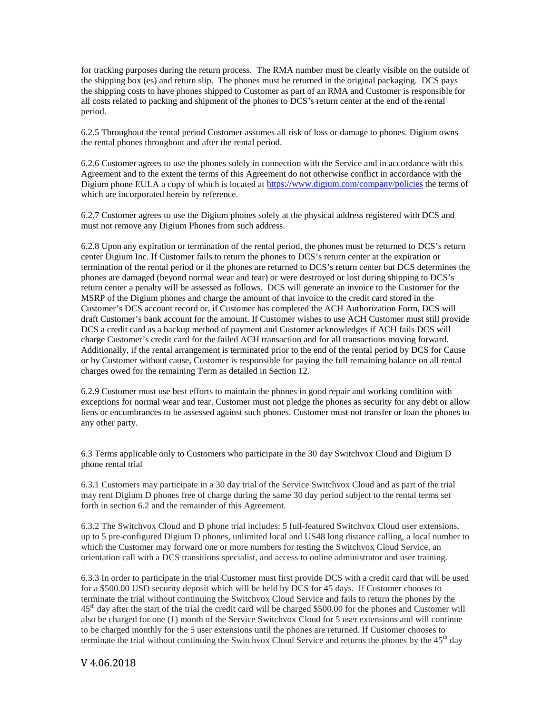for tracking purposes during the return process. The RMA number must be clearly visible on the outside of the shipping box (es) and return slip. The phones must be returned in the original packaging. DCS pays the shipping costs to have phones shipped to Customer as part of an RMA and Customer is responsible for all costs related to packing and shipment of the phones to DCS's return center at the end of the rental period.

6.2.5 Throughout the rental period Customer assumes all risk of loss or damage to phones. Digium owns the rental phones throughout and after the rental period.

6.2.6 Customer agrees to use the phones solely in connection with the Service and in accordance with this Agreement and to the extent the terms of this Agreement do not otherwise conflict in accordance with the Digium phone EULA a copy of which is located at<https://www.digium.com/company/policies> the terms of which are incorporated herein by reference.

6.2.7 Customer agrees to use the Digium phones solely at the physical address registered with DCS and must not remove any Digium Phones from such address.

6.2.8 Upon any expiration or termination of the rental period, the phones must be returned to DCS's return center Digium Inc. If Customer fails to return the phones to DCS's return center at the expiration or termination of the rental period or if the phones are returned to DCS's return center but DCS determines the phones are damaged (beyond normal wear and tear) or were destroyed or lost during shipping to DCS's return center a penalty will be assessed as follows. DCS will generate an invoice to the Customer for the MSRP of the Digium phones and charge the amount of that invoice to the credit card stored in the Customer's DCS account record or, if Customer has completed the ACH Authorization Form, DCS will draft Customer's bank account for the amount. If Customer wishes to use ACH Customer must still provide DCS a credit card as a backup method of payment and Customer acknowledges if ACH fails DCS will charge Customer's credit card for the failed ACH transaction and for all transactions moving forward. Additionally, if the rental arrangement is terminated prior to the end of the rental period by DCS for Cause or by Customer without cause, Customer is responsible for paying the full remaining balance on all rental charges owed for the remaining Term as detailed in Section 12.

6.2.9 Customer must use best efforts to maintain the phones in good repair and working condition with exceptions for normal wear and tear. Customer must not pledge the phones as security for any debt or allow liens or encumbrances to be assessed against such phones. Customer must not transfer or loan the phones to any other party.

6.3 Terms applicable only to Customers who participate in the 30 day Switchvox Cloud and Digium D phone rental trial

6.3.1 Customers may participate in a 30 day trial of the Service Switchvox Cloud and as part of the trial may rent Digium D phones free of charge during the same 30 day period subject to the rental terms set forth in section 6.2 and the remainder of this Agreement.

6.3.2 The Switchvox Cloud and D phone trial includes: 5 full-featured Switchvox Cloud user extensions, up to 5 pre-configured Digium D phones, unlimited local and US48 long distance calling, a local number to which the Customer may forward one or more numbers for testing the Switchvox Cloud Service, an orientation call with a DCS transitions specialist, and access to online administrator and user training.

6.3.3 In order to participate in the trial Customer must first provide DCS with a credit card that will be used for a \$500.00 USD security deposit which will be held by DCS for 45 days. If Customer chooses to terminate the trial without continuing the Switchvox Cloud Service and fails to return the phones by the  $45<sup>th</sup>$  day after the start of the trial the credit card will be charged \$500.00 for the phones and Customer will also be charged for one (1) month of the Service Switchvox Cloud for 5 user extensions and will continue to be charged monthly for the 5 user extensions until the phones are returned. If Customer chooses to terminate the trial without continuing the Switchvox Cloud Service and returns the phones by the  $45<sup>th</sup>$  day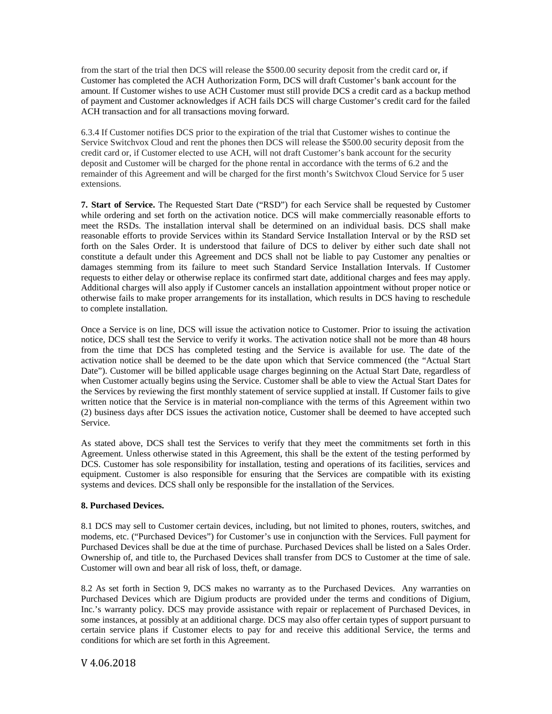from the start of the trial then DCS will release the \$500.00 security deposit from the credit card or, if Customer has completed the ACH Authorization Form, DCS will draft Customer's bank account for the amount. If Customer wishes to use ACH Customer must still provide DCS a credit card as a backup method of payment and Customer acknowledges if ACH fails DCS will charge Customer's credit card for the failed ACH transaction and for all transactions moving forward.

6.3.4 If Customer notifies DCS prior to the expiration of the trial that Customer wishes to continue the Service Switchvox Cloud and rent the phones then DCS will release the \$500.00 security deposit from the credit card or, if Customer elected to use ACH, will not draft Customer's bank account for the security deposit and Customer will be charged for the phone rental in accordance with the terms of 6.2 and the remainder of this Agreement and will be charged for the first month's Switchvox Cloud Service for 5 user extensions.

**7. Start of Service.** The Requested Start Date ("RSD") for each Service shall be requested by Customer while ordering and set forth on the activation notice. DCS will make commercially reasonable efforts to meet the RSDs. The installation interval shall be determined on an individual basis. DCS shall make reasonable efforts to provide Services within its Standard Service Installation Interval or by the RSD set forth on the Sales Order. It is understood that failure of DCS to deliver by either such date shall not constitute a default under this Agreement and DCS shall not be liable to pay Customer any penalties or damages stemming from its failure to meet such Standard Service Installation Intervals. If Customer requests to either delay or otherwise replace its confirmed start date, additional charges and fees may apply. Additional charges will also apply if Customer cancels an installation appointment without proper notice or otherwise fails to make proper arrangements for its installation, which results in DCS having to reschedule to complete installation.

Once a Service is on line, DCS will issue the activation notice to Customer. Prior to issuing the activation notice, DCS shall test the Service to verify it works. The activation notice shall not be more than 48 hours from the time that DCS has completed testing and the Service is available for use. The date of the activation notice shall be deemed to be the date upon which that Service commenced (the "Actual Start Date"). Customer will be billed applicable usage charges beginning on the Actual Start Date, regardless of when Customer actually begins using the Service. Customer shall be able to view the Actual Start Dates for the Services by reviewing the first monthly statement of service supplied at install. If Customer fails to give written notice that the Service is in material non-compliance with the terms of this Agreement within two (2) business days after DCS issues the activation notice, Customer shall be deemed to have accepted such Service.

As stated above, DCS shall test the Services to verify that they meet the commitments set forth in this Agreement. Unless otherwise stated in this Agreement, this shall be the extent of the testing performed by DCS. Customer has sole responsibility for installation, testing and operations of its facilities, services and equipment. Customer is also responsible for ensuring that the Services are compatible with its existing systems and devices. DCS shall only be responsible for the installation of the Services.

# **8. Purchased Devices.**

8.1 DCS may sell to Customer certain devices, including, but not limited to phones, routers, switches, and modems, etc. ("Purchased Devices") for Customer's use in conjunction with the Services. Full payment for Purchased Devices shall be due at the time of purchase. Purchased Devices shall be listed on a Sales Order. Ownership of, and title to, the Purchased Devices shall transfer from DCS to Customer at the time of sale. Customer will own and bear all risk of loss, theft, or damage.

8.2 As set forth in Section 9, DCS makes no warranty as to the Purchased Devices. Any warranties on Purchased Devices which are Digium products are provided under the terms and conditions of Digium, Inc.'s warranty policy. DCS may provide assistance with repair or replacement of Purchased Devices, in some instances, at possibly at an additional charge. DCS may also offer certain types of support pursuant to certain service plans if Customer elects to pay for and receive this additional Service, the terms and conditions for which are set forth in this Agreement.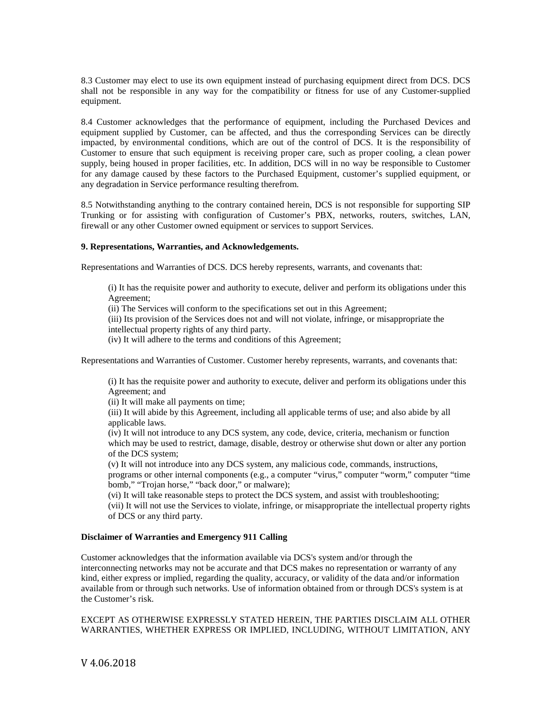8.3 Customer may elect to use its own equipment instead of purchasing equipment direct from DCS. DCS shall not be responsible in any way for the compatibility or fitness for use of any Customer-supplied equipment.

8.4 Customer acknowledges that the performance of equipment, including the Purchased Devices and equipment supplied by Customer, can be affected, and thus the corresponding Services can be directly impacted, by environmental conditions, which are out of the control of DCS. It is the responsibility of Customer to ensure that such equipment is receiving proper care, such as proper cooling, a clean power supply, being housed in proper facilities, etc. In addition, DCS will in no way be responsible to Customer for any damage caused by these factors to the Purchased Equipment, customer's supplied equipment, or any degradation in Service performance resulting therefrom.

8.5 Notwithstanding anything to the contrary contained herein, DCS is not responsible for supporting SIP Trunking or for assisting with configuration of Customer's PBX, networks, routers, switches, LAN, firewall or any other Customer owned equipment or services to support Services.

### **9. Representations, Warranties, and Acknowledgements.**

Representations and Warranties of DCS. DCS hereby represents, warrants, and covenants that:

(i) It has the requisite power and authority to execute, deliver and perform its obligations under this Agreement;

(ii) The Services will conform to the specifications set out in this Agreement;

(iii) Its provision of the Services does not and will not violate, infringe, or misappropriate the intellectual property rights of any third party.

(iv) It will adhere to the terms and conditions of this Agreement;

Representations and Warranties of Customer. Customer hereby represents, warrants, and covenants that:

(i) It has the requisite power and authority to execute, deliver and perform its obligations under this Agreement; and

(ii) It will make all payments on time;

(iii) It will abide by this Agreement, including all applicable terms of use; and also abide by all applicable laws.

(iv) It will not introduce to any DCS system, any code, device, criteria, mechanism or function which may be used to restrict, damage, disable, destroy or otherwise shut down or alter any portion of the DCS system;

(v) It will not introduce into any DCS system, any malicious code, commands, instructions, programs or other internal components (e.g., a computer "virus," computer "worm," computer "time bomb," "Trojan horse," "back door," or malware);

(vi) It will take reasonable steps to protect the DCS system, and assist with troubleshooting; (vii) It will not use the Services to violate, infringe, or misappropriate the intellectual property rights of DCS or any third party.

# **Disclaimer of Warranties and Emergency 911 Calling**

Customer acknowledges that the information available via DCS's system and/or through the interconnecting networks may not be accurate and that DCS makes no representation or warranty of any kind, either express or implied, regarding the quality, accuracy, or validity of the data and/or information available from or through such networks. Use of information obtained from or through DCS's system is at the Customer's risk.

EXCEPT AS OTHERWISE EXPRESSLY STATED HEREIN, THE PARTIES DISCLAIM ALL OTHER WARRANTIES, WHETHER EXPRESS OR IMPLIED, INCLUDING, WITHOUT LIMITATION, ANY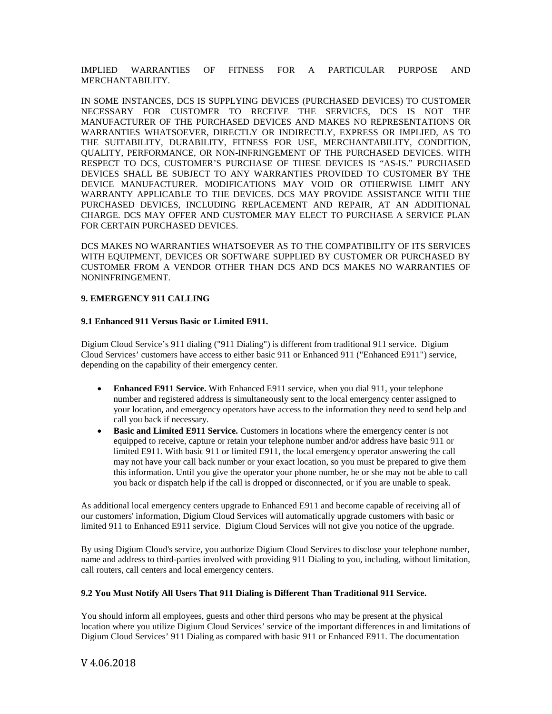IMPLIED WARRANTIES OF FITNESS FOR A PARTICULAR PURPOSE AND MERCHANTABILITY.

IN SOME INSTANCES, DCS IS SUPPLYING DEVICES (PURCHASED DEVICES) TO CUSTOMER NECESSARY FOR CUSTOMER TO RECEIVE THE SERVICES, DCS IS NOT THE MANUFACTURER OF THE PURCHASED DEVICES AND MAKES NO REPRESENTATIONS OR WARRANTIES WHATSOEVER, DIRECTLY OR INDIRECTLY, EXPRESS OR IMPLIED, AS TO THE SUITABILITY, DURABILITY, FITNESS FOR USE, MERCHANTABILITY, CONDITION, QUALITY, PERFORMANCE, OR NON-INFRINGEMENT OF THE PURCHASED DEVICES. WITH RESPECT TO DCS, CUSTOMER'S PURCHASE OF THESE DEVICES IS "AS-IS." PURCHASED DEVICES SHALL BE SUBJECT TO ANY WARRANTIES PROVIDED TO CUSTOMER BY THE DEVICE MANUFACTURER. MODIFICATIONS MAY VOID OR OTHERWISE LIMIT ANY WARRANTY APPLICABLE TO THE DEVICES. DCS MAY PROVIDE ASSISTANCE WITH THE PURCHASED DEVICES, INCLUDING REPLACEMENT AND REPAIR, AT AN ADDITIONAL CHARGE. DCS MAY OFFER AND CUSTOMER MAY ELECT TO PURCHASE A SERVICE PLAN FOR CERTAIN PURCHASED DEVICES.

DCS MAKES NO WARRANTIES WHATSOEVER AS TO THE COMPATIBILITY OF ITS SERVICES WITH EQUIPMENT, DEVICES OR SOFTWARE SUPPLIED BY CUSTOMER OR PURCHASED BY CUSTOMER FROM A VENDOR OTHER THAN DCS AND DCS MAKES NO WARRANTIES OF NONINFRINGEMENT.

# **9. EMERGENCY 911 CALLING**

### **9.1 Enhanced 911 Versus Basic or Limited E911.**

Digium Cloud Service's 911 dialing ("911 Dialing") is different from traditional 911 service. Digium Cloud Services' customers have access to either basic 911 or Enhanced 911 ("Enhanced E911") service, depending on the capability of their emergency center.

- **Enhanced E911 Service.** With Enhanced E911 service, when you dial 911, your telephone number and registered address is simultaneously sent to the local emergency center assigned to your location, and emergency operators have access to the information they need to send help and call you back if necessary.
- **Basic and Limited E911 Service.** Customers in locations where the emergency center is not equipped to receive, capture or retain your telephone number and/or address have basic 911 or limited E911. With basic 911 or limited E911, the local emergency operator answering the call may not have your call back number or your exact location, so you must be prepared to give them this information. Until you give the operator your phone number, he or she may not be able to call you back or dispatch help if the call is dropped or disconnected, or if you are unable to speak.

As additional local emergency centers upgrade to Enhanced E911 and become capable of receiving all of our customers' information, Digium Cloud Services will automatically upgrade customers with basic or limited 911 to Enhanced E911 service. Digium Cloud Services will not give you notice of the upgrade.

By using Digium Cloud's service, you authorize Digium Cloud Services to disclose your telephone number, name and address to third-parties involved with providing 911 Dialing to you, including, without limitation, call routers, call centers and local emergency centers.

# **9.2 You Must Notify All Users That 911 Dialing is Different Than Traditional 911 Service.**

You should inform all employees, guests and other third persons who may be present at the physical location where you utilize Digium Cloud Services' service of the important differences in and limitations of Digium Cloud Services' 911 Dialing as compared with basic 911 or Enhanced E911. The documentation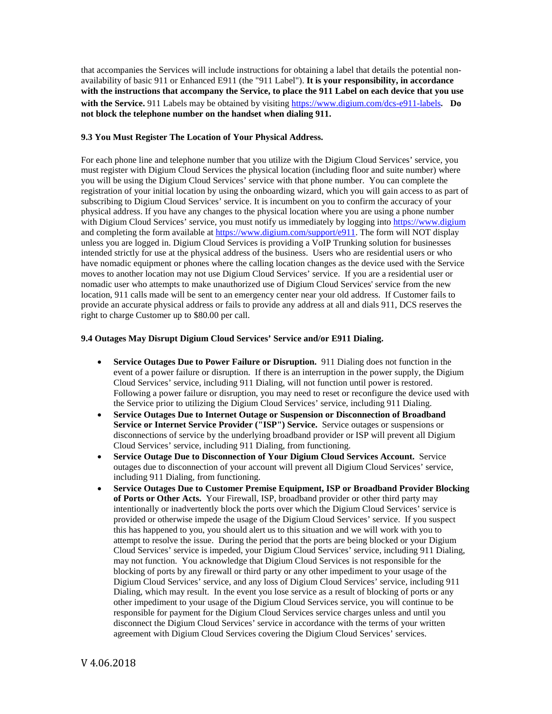that accompanies the Services will include instructions for obtaining a label that details the potential nonavailability of basic 911 or Enhanced E911 (the "911 Label"). **It is your responsibility, in accordance with the instructions that accompany the Service, to place the 911 Label on each device that you use with the Service.** 911 Labels may be obtained by visiting <https://www.digium.com/dcs-e911-labels>. **Do not block the telephone number on the handset when dialing 911.**

# **9.3 You Must Register The Location of Your Physical Address.**

For each phone line and telephone number that you utilize with the Digium Cloud Services' service, you must register with Digium Cloud Services the physical location (including floor and suite number) where you will be using the Digium Cloud Services' service with that phone number. You can complete the registration of your initial location by using the onboarding wizard, which you will gain access to as part of subscribing to Digium Cloud Services' service. It is incumbent on you to confirm the accuracy of your physical address. If you have any changes to the physical location where you are using a phone number with Digium Cloud Services' service, you must notify us immediately by logging into [https://www.digium](https://www.digium/) and completing the form available at [https://www.digium.com/support/e911.](https://www.digium.com/support/e911) The form will NOT display unless you are logged in. Digium Cloud Services is providing a VoIP Trunking solution for businesses intended strictly for use at the physical address of the business. Users who are residential users or who have nomadic equipment or phones where the calling location changes as the device used with the Service moves to another location may not use Digium Cloud Services' service. If you are a residential user or nomadic user who attempts to make unauthorized use of Digium Cloud Services' service from the new location, 911 calls made will be sent to an emergency center near your old address. If Customer fails to provide an accurate physical address or fails to provide any address at all and dials 911, DCS reserves the right to charge Customer up to \$80.00 per call.

### **9.4 Outages May Disrupt Digium Cloud Services' Service and/or E911 Dialing.**

- **Service Outages Due to Power Failure or Disruption.** 911 Dialing does not function in the event of a power failure or disruption. If there is an interruption in the power supply, the Digium Cloud Services' service, including 911 Dialing, will not function until power is restored. Following a power failure or disruption, you may need to reset or reconfigure the device used with the Service prior to utilizing the Digium Cloud Services' service, including 911 Dialing.
- **Service Outages Due to Internet Outage or Suspension or Disconnection of Broadband Service or Internet Service Provider ("ISP") Service.** Service outages or suspensions or disconnections of service by the underlying broadband provider or ISP will prevent all Digium Cloud Services' service, including 911 Dialing, from functioning.
- **Service Outage Due to Disconnection of Your Digium Cloud Services Account.** Service outages due to disconnection of your account will prevent all Digium Cloud Services' service, including 911 Dialing, from functioning.
- **Service Outages Due to Customer Premise Equipment, ISP or Broadband Provider Blocking of Ports or Other Acts.** Your Firewall, ISP, broadband provider or other third party may intentionally or inadvertently block the ports over which the Digium Cloud Services' service is provided or otherwise impede the usage of the Digium Cloud Services' service. If you suspect this has happened to you, you should alert us to this situation and we will work with you to attempt to resolve the issue. During the period that the ports are being blocked or your Digium Cloud Services' service is impeded, your Digium Cloud Services' service, including 911 Dialing, may not function. You acknowledge that Digium Cloud Services is not responsible for the blocking of ports by any firewall or third party or any other impediment to your usage of the Digium Cloud Services' service, and any loss of Digium Cloud Services' service, including 911 Dialing, which may result. In the event you lose service as a result of blocking of ports or any other impediment to your usage of the Digium Cloud Services service, you will continue to be responsible for payment for the Digium Cloud Services service charges unless and until you disconnect the Digium Cloud Services' service in accordance with the terms of your written agreement with Digium Cloud Services covering the Digium Cloud Services' services.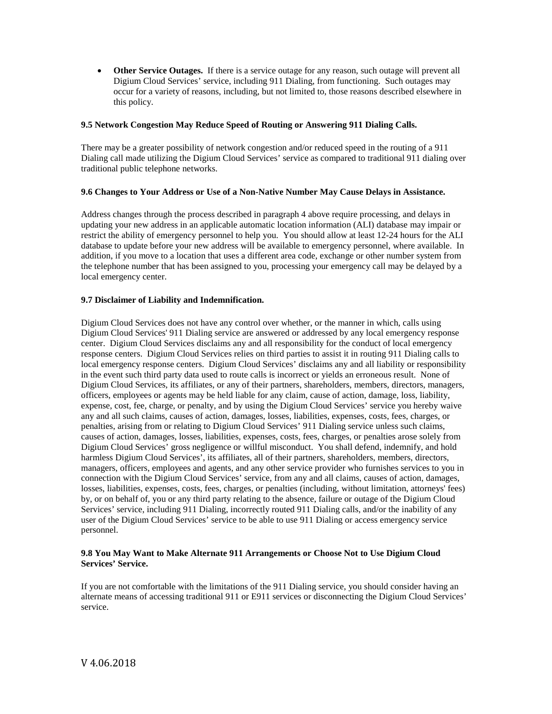• Other Service Outages. If there is a service outage for any reason, such outage will prevent all Digium Cloud Services' service, including 911 Dialing, from functioning. Such outages may occur for a variety of reasons, including, but not limited to, those reasons described elsewhere in this policy.

# **9.5 Network Congestion May Reduce Speed of Routing or Answering 911 Dialing Calls.**

There may be a greater possibility of network congestion and/or reduced speed in the routing of a 911 Dialing call made utilizing the Digium Cloud Services' service as compared to traditional 911 dialing over traditional public telephone networks.

# **9.6 Changes to Your Address or Use of a Non-Native Number May Cause Delays in Assistance.**

Address changes through the process described in paragraph 4 above require processing, and delays in updating your new address in an applicable automatic location information (ALI) database may impair or restrict the ability of emergency personnel to help you. You should allow at least 12-24 hours for the ALI database to update before your new address will be available to emergency personnel, where available. In addition, if you move to a location that uses a different area code, exchange or other number system from the telephone number that has been assigned to you, processing your emergency call may be delayed by a local emergency center.

# **9.7 Disclaimer of Liability and Indemnification.**

Digium Cloud Services does not have any control over whether, or the manner in which, calls using Digium Cloud Services' 911 Dialing service are answered or addressed by any local emergency response center. Digium Cloud Services disclaims any and all responsibility for the conduct of local emergency response centers. Digium Cloud Services relies on third parties to assist it in routing 911 Dialing calls to local emergency response centers. Digium Cloud Services' disclaims any and all liability or responsibility in the event such third party data used to route calls is incorrect or yields an erroneous result. None of Digium Cloud Services, its affiliates, or any of their partners, shareholders, members, directors, managers, officers, employees or agents may be held liable for any claim, cause of action, damage, loss, liability, expense, cost, fee, charge, or penalty, and by using the Digium Cloud Services' service you hereby waive any and all such claims, causes of action, damages, losses, liabilities, expenses, costs, fees, charges, or penalties, arising from or relating to Digium Cloud Services' 911 Dialing service unless such claims, causes of action, damages, losses, liabilities, expenses, costs, fees, charges, or penalties arose solely from Digium Cloud Services' gross negligence or willful misconduct. You shall defend, indemnify, and hold harmless Digium Cloud Services', its affiliates, all of their partners, shareholders, members, directors, managers, officers, employees and agents, and any other service provider who furnishes services to you in connection with the Digium Cloud Services' service, from any and all claims, causes of action, damages, losses, liabilities, expenses, costs, fees, charges, or penalties (including, without limitation, attorneys' fees) by, or on behalf of, you or any third party relating to the absence, failure or outage of the Digium Cloud Services' service, including 911 Dialing, incorrectly routed 911 Dialing calls, and/or the inability of any user of the Digium Cloud Services' service to be able to use 911 Dialing or access emergency service personnel.

# **9.8 You May Want to Make Alternate 911 Arrangements or Choose Not to Use Digium Cloud Services' Service.**

If you are not comfortable with the limitations of the 911 Dialing service, you should consider having an alternate means of accessing traditional 911 or E911 services or disconnecting the Digium Cloud Services' service.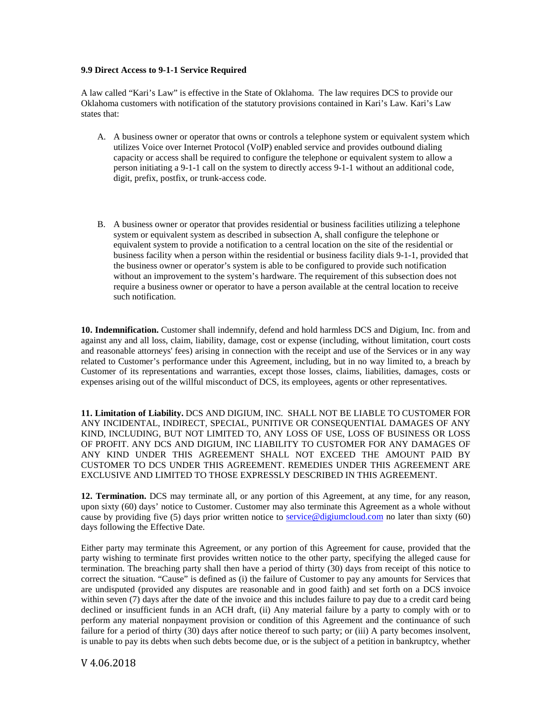## **9.9 Direct Access to 9-1-1 Service Required**

A law called "Kari's Law" is effective in the State of Oklahoma. The law requires DCS to provide our Oklahoma customers with notification of the statutory provisions contained in Kari's Law. Kari's Law states that:

- A. A business owner or operator that owns or controls a telephone system or equivalent system which utilizes Voice over Internet Protocol (VoIP) enabled service and provides outbound dialing capacity or access shall be required to configure the telephone or equivalent system to allow a person initiating a 9-1-1 call on the system to directly access 9-1-1 without an additional code, digit, prefix, postfix, or trunk-access code.
- B. A business owner or operator that provides residential or business facilities utilizing a telephone system or equivalent system as described in subsection A, shall configure the telephone or equivalent system to provide a notification to a central location on the site of the residential or business facility when a person within the residential or business facility dials 9-1-1, provided that the business owner or operator's system is able to be configured to provide such notification without an improvement to the system's hardware. The requirement of this subsection does not require a business owner or operator to have a person available at the central location to receive such notification.

**10. Indemnification.** Customer shall indemnify, defend and hold harmless DCS and Digium, Inc. from and against any and all loss, claim, liability, damage, cost or expense (including, without limitation, court costs and reasonable attorneys' fees) arising in connection with the receipt and use of the Services or in any way related to Customer's performance under this Agreement, including, but in no way limited to, a breach by Customer of its representations and warranties, except those losses, claims, liabilities, damages, costs or expenses arising out of the willful misconduct of DCS, its employees, agents or other representatives.

**11. Limitation of Liability.** DCS AND DIGIUM, INC. SHALL NOT BE LIABLE TO CUSTOMER FOR ANY INCIDENTAL, INDIRECT, SPECIAL, PUNITIVE OR CONSEQUENTIAL DAMAGES OF ANY KIND, INCLUDING, BUT NOT LIMITED TO, ANY LOSS OF USE, LOSS OF BUSINESS OR LOSS OF PROFIT. ANY DCS AND DIGIUM, INC LIABILITY TO CUSTOMER FOR ANY DAMAGES OF ANY KIND UNDER THIS AGREEMENT SHALL NOT EXCEED THE AMOUNT PAID BY CUSTOMER TO DCS UNDER THIS AGREEMENT. REMEDIES UNDER THIS AGREEMENT ARE EXCLUSIVE AND LIMITED TO THOSE EXPRESSLY DESCRIBED IN THIS AGREEMENT.

**12. Termination.** DCS may terminate all, or any portion of this Agreement, at any time, for any reason, upon sixty (60) days' notice to Customer. Customer may also terminate this Agreement as a whole without cause by providing five (5) days prior written notice to [service@digiumcloud.com](mailto:service@digiumcloud.com) no later than sixty (60) days following the Effective Date.

Either party may terminate this Agreement, or any portion of this Agreement for cause, provided that the party wishing to terminate first provides written notice to the other party, specifying the alleged cause for termination. The breaching party shall then have a period of thirty (30) days from receipt of this notice to correct the situation. "Cause" is defined as (i) the failure of Customer to pay any amounts for Services that are undisputed (provided any disputes are reasonable and in good faith) and set forth on a DCS invoice within seven (7) days after the date of the invoice and this includes failure to pay due to a credit card being declined or insufficient funds in an ACH draft, (ii) Any material failure by a party to comply with or to perform any material nonpayment provision or condition of this Agreement and the continuance of such failure for a period of thirty (30) days after notice thereof to such party; or (iii) A party becomes insolvent, is unable to pay its debts when such debts become due, or is the subject of a petition in bankruptcy, whether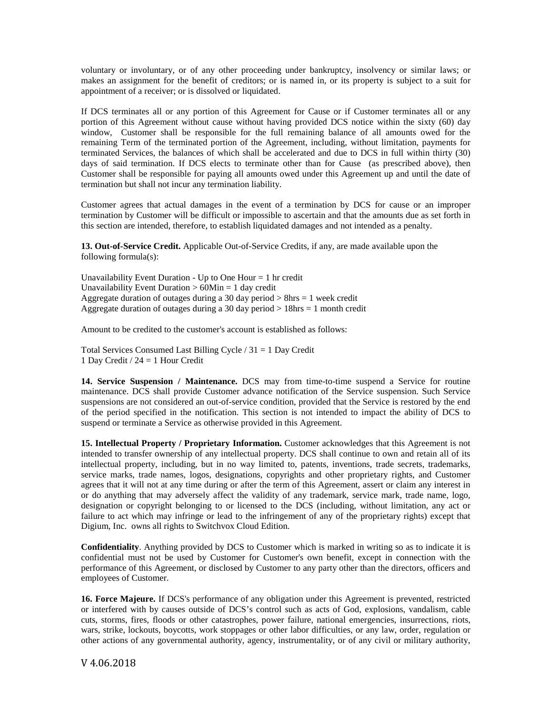voluntary or involuntary, or of any other proceeding under bankruptcy, insolvency or similar laws; or makes an assignment for the benefit of creditors; or is named in, or its property is subject to a suit for appointment of a receiver; or is dissolved or liquidated.

If DCS terminates all or any portion of this Agreement for Cause or if Customer terminates all or any portion of this Agreement without cause without having provided DCS notice within the sixty (60) day window, Customer shall be responsible for the full remaining balance of all amounts owed for the remaining Term of the terminated portion of the Agreement, including, without limitation, payments for terminated Services, the balances of which shall be accelerated and due to DCS in full within thirty (30) days of said termination. If DCS elects to terminate other than for Cause (as prescribed above), then Customer shall be responsible for paying all amounts owed under this Agreement up and until the date of termination but shall not incur any termination liability.

Customer agrees that actual damages in the event of a termination by DCS for cause or an improper termination by Customer will be difficult or impossible to ascertain and that the amounts due as set forth in this section are intended, therefore, to establish liquidated damages and not intended as a penalty.

**13. Out-of-Service Credit.** Applicable Out-of-Service Credits, if any, are made available upon the following formula(s):

Unavailability Event Duration - Up to One Hour  $= 1$  hr credit Unavailability Event Duration  $> 60$ Min = 1 day credit Aggregate duration of outages during a 30 day period  $> 8$ hrs = 1 week credit Aggregate duration of outages during a 30 day period  $> 18$ hrs = 1 month credit

Amount to be credited to the customer's account is established as follows:

Total Services Consumed Last Billing Cycle / 31 = 1 Day Credit 1 Day Credit / 24 = 1 Hour Credit

**14. Service Suspension / Maintenance.** DCS may from time-to-time suspend a Service for routine maintenance. DCS shall provide Customer advance notification of the Service suspension. Such Service suspensions are not considered an out-of-service condition, provided that the Service is restored by the end of the period specified in the notification. This section is not intended to impact the ability of DCS to suspend or terminate a Service as otherwise provided in this Agreement.

**15. Intellectual Property / Proprietary Information.** Customer acknowledges that this Agreement is not intended to transfer ownership of any intellectual property. DCS shall continue to own and retain all of its intellectual property, including, but in no way limited to, patents, inventions, trade secrets, trademarks, service marks, trade names, logos, designations, copyrights and other proprietary rights, and Customer agrees that it will not at any time during or after the term of this Agreement, assert or claim any interest in or do anything that may adversely affect the validity of any trademark, service mark, trade name, logo, designation or copyright belonging to or licensed to the DCS (including, without limitation, any act or failure to act which may infringe or lead to the infringement of any of the proprietary rights) except that Digium, Inc. owns all rights to Switchvox Cloud Edition.

**Confidentiality**. Anything provided by DCS to Customer which is marked in writing so as to indicate it is confidential must not be used by Customer for Customer's own benefit, except in connection with the performance of this Agreement, or disclosed by Customer to any party other than the directors, officers and employees of Customer.

**16. Force Majeure.** If DCS's performance of any obligation under this Agreement is prevented, restricted or interfered with by causes outside of DCS's control such as acts of God, explosions, vandalism, cable cuts, storms, fires, floods or other catastrophes, power failure, national emergencies, insurrections, riots, wars, strike, lockouts, boycotts, work stoppages or other labor difficulties, or any law, order, regulation or other actions of any governmental authority, agency, instrumentality, or of any civil or military authority,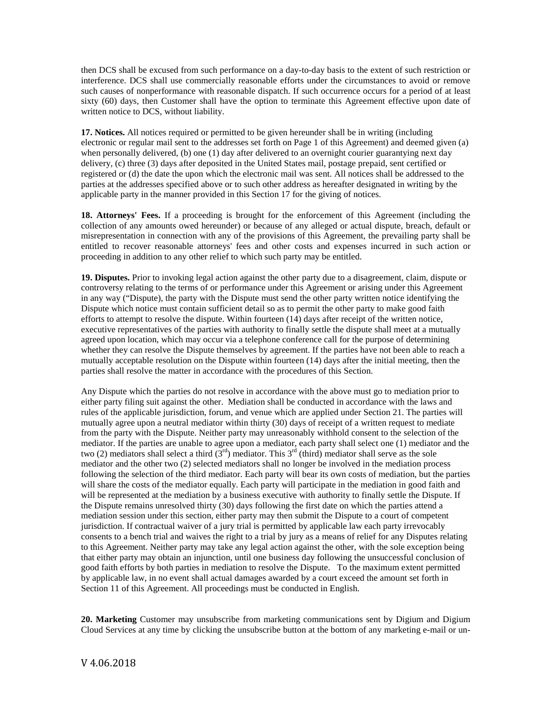then DCS shall be excused from such performance on a day-to-day basis to the extent of such restriction or interference. DCS shall use commercially reasonable efforts under the circumstances to avoid or remove such causes of nonperformance with reasonable dispatch. If such occurrence occurs for a period of at least sixty (60) days, then Customer shall have the option to terminate this Agreement effective upon date of written notice to DCS, without liability.

**17. Notices.** All notices required or permitted to be given hereunder shall be in writing (including electronic or regular mail sent to the addresses set forth on Page 1 of this Agreement) and deemed given (a) when personally delivered, (b) one (1) day after delivered to an overnight courier guarantying next day delivery, (c) three (3) days after deposited in the United States mail, postage prepaid, sent certified or registered or (d) the date the upon which the electronic mail was sent. All notices shall be addressed to the parties at the addresses specified above or to such other address as hereafter designated in writing by the applicable party in the manner provided in this Section 17 for the giving of notices.

**18. Attorneys' Fees.** If a proceeding is brought for the enforcement of this Agreement (including the collection of any amounts owed hereunder) or because of any alleged or actual dispute, breach, default or misrepresentation in connection with any of the provisions of this Agreement, the prevailing party shall be entitled to recover reasonable attorneys' fees and other costs and expenses incurred in such action or proceeding in addition to any other relief to which such party may be entitled.

**19. Disputes.** Prior to invoking legal action against the other party due to a disagreement, claim, dispute or controversy relating to the terms of or performance under this Agreement or arising under this Agreement in any way ("Dispute), the party with the Dispute must send the other party written notice identifying the Dispute which notice must contain sufficient detail so as to permit the other party to make good faith efforts to attempt to resolve the dispute. Within fourteen (14) days after receipt of the written notice, executive representatives of the parties with authority to finally settle the dispute shall meet at a mutually agreed upon location, which may occur via a telephone conference call for the purpose of determining whether they can resolve the Dispute themselves by agreement. If the parties have not been able to reach a mutually acceptable resolution on the Dispute within fourteen (14) days after the initial meeting, then the parties shall resolve the matter in accordance with the procedures of this Section.

Any Dispute which the parties do not resolve in accordance with the above must go to mediation prior to either party filing suit against the other. Mediation shall be conducted in accordance with the laws and rules of the applicable jurisdiction, forum, and venue which are applied under Section 21. The parties will mutually agree upon a neutral mediator within thirty (30) days of receipt of a written request to mediate from the party with the Dispute. Neither party may unreasonably withhold consent to the selection of the mediator. If the parties are unable to agree upon a mediator, each party shall select one (1) mediator and the two (2) mediators shall select a third  $(3<sup>rd</sup>)$  mediator. This  $3<sup>rd</sup>$  (third) mediator shall serve as the sole mediator and the other two (2) selected mediators shall no longer be involved in the mediation process following the selection of the third mediator. Each party will bear its own costs of mediation, but the parties will share the costs of the mediator equally. Each party will participate in the mediation in good faith and will be represented at the mediation by a business executive with authority to finally settle the Dispute. If the Dispute remains unresolved thirty (30) days following the first date on which the parties attend a mediation session under this section, either party may then submit the Dispute to a court of competent jurisdiction. If contractual waiver of a jury trial is permitted by applicable law each party irrevocably consents to a bench trial and waives the right to a trial by jury as a means of relief for any Disputes relating to this Agreement. Neither party may take any legal action against the other, with the sole exception being that either party may obtain an injunction, until one business day following the unsuccessful conclusion of good faith efforts by both parties in mediation to resolve the Dispute. To the maximum extent permitted by applicable law, in no event shall actual damages awarded by a court exceed the amount set forth in Section 11 of this Agreement. All proceedings must be conducted in English.

**20. Marketing** Customer may unsubscribe from marketing communications sent by Digium and Digium Cloud Services at any time by clicking the unsubscribe button at the bottom of any marketing e-mail or un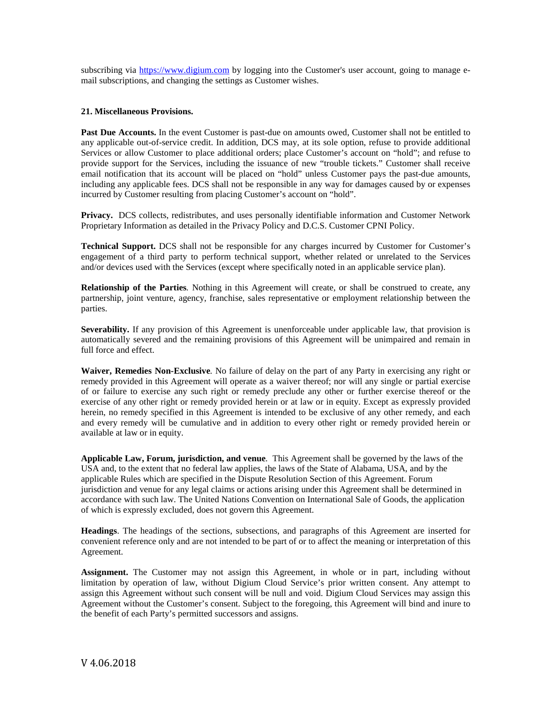subscribing via [https://www.digium.com](https://www.digium.com/) by logging into the Customer's user account, going to manage email subscriptions, and changing the settings as Customer wishes.

# **21. Miscellaneous Provisions.**

**Past Due Accounts.** In the event Customer is past-due on amounts owed, Customer shall not be entitled to any applicable out-of-service credit. In addition, DCS may, at its sole option, refuse to provide additional Services or allow Customer to place additional orders; place Customer's account on "hold"; and refuse to provide support for the Services, including the issuance of new "trouble tickets." Customer shall receive email notification that its account will be placed on "hold" unless Customer pays the past-due amounts, including any applicable fees. DCS shall not be responsible in any way for damages caused by or expenses incurred by Customer resulting from placing Customer's account on "hold".

**Privacy.** DCS collects, redistributes, and uses personally identifiable information and Customer Network Proprietary Information as detailed in the Privacy Policy and D.C.S. Customer CPNI Policy.

**Technical Support.** DCS shall not be responsible for any charges incurred by Customer for Customer's engagement of a third party to perform technical support, whether related or unrelated to the Services and/or devices used with the Services (except where specifically noted in an applicable service plan).

**Relationship of the Parties***.* Nothing in this Agreement will create, or shall be construed to create, any partnership, joint venture, agency, franchise, sales representative or employment relationship between the parties.

**Severability.** If any provision of this Agreement is unenforceable under applicable law, that provision is automatically severed and the remaining provisions of this Agreement will be unimpaired and remain in full force and effect.

**Waiver, Remedies Non-Exclusive***.* No failure of delay on the part of any Party in exercising any right or remedy provided in this Agreement will operate as a waiver thereof; nor will any single or partial exercise of or failure to exercise any such right or remedy preclude any other or further exercise thereof or the exercise of any other right or remedy provided herein or at law or in equity. Except as expressly provided herein, no remedy specified in this Agreement is intended to be exclusive of any other remedy, and each and every remedy will be cumulative and in addition to every other right or remedy provided herein or available at law or in equity.

**Applicable Law, Forum, jurisdiction, and venue***.* This Agreement shall be governed by the laws of the USA and, to the extent that no federal law applies, the laws of the State of Alabama, USA, and by the applicable Rules which are specified in the Dispute Resolution Section of this Agreement. Forum jurisdiction and venue for any legal claims or actions arising under this Agreement shall be determined in accordance with such law. The United Nations Convention on International Sale of Goods, the application of which is expressly excluded, does not govern this Agreement.

**Headings**. The headings of the sections, subsections, and paragraphs of this Agreement are inserted for convenient reference only and are not intended to be part of or to affect the meaning or interpretation of this Agreement.

**Assignment.** The Customer may not assign this Agreement, in whole or in part, including without limitation by operation of law, without Digium Cloud Service's prior written consent. Any attempt to assign this Agreement without such consent will be null and void. Digium Cloud Services may assign this Agreement without the Customer's consent. Subject to the foregoing, this Agreement will bind and inure to the benefit of each Party's permitted successors and assigns.